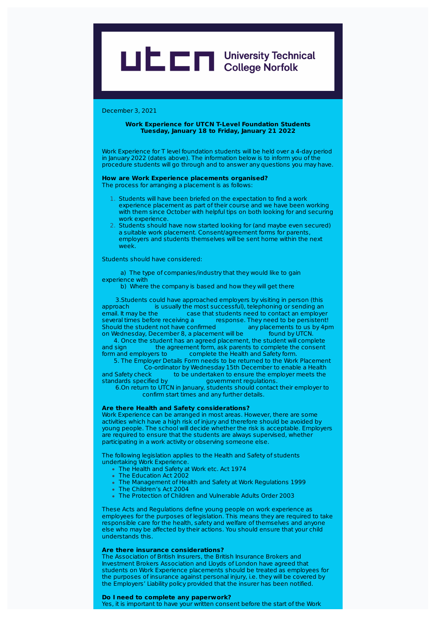# LIC College Norfolk

### December 3, 2021

### **Work Experience for UTCN T-Level Foundation Students Tuesday, January 18 to Friday, January 21 2022**

Work Experience for T level foundation students will be held over a 4-day period in January 2022 (dates above). The information below is to inform you of the procedure students will go through and to answer any questions you may have.

#### **How are Work Experience placements organised?** The process for arranging a placement is as follows:

- 1. Students will have been briefed on the expectation to find a work experience placement as part of their course and we have been working with them since October with helpful tips on both looking for and securing work experience.
- 2. Students should have now started looking for (and maybe even secured) a suitable work placement. Consent/agreement forms for parents, employers and students themselves will be sent home within the next week.

Students should have considered:

a) The type of companies/industry that they would like to gain experience with

b) Where the company is based and how they will get there

3.Students could have approached employers by visiting in person (this approach is usually the most successful), telephoning or sending an email. It may be the case that students need to contact an emplove case that students need to contact an employer several times before receiving a response. They need to be persistent!<br>Should the student not have confirmed any placements to us by 4pm Should the student not have confirmed any placements to us<br>on Wednesday, December 8, a placement will be found by UTCN on Wednesday, December 8, a placement will be

4. Once the student has an agreed placement, the student will complete and sign the agreement form, ask parents to complete the consent form and employers to complete the Health and Safety form. complete the Health and Safety form.

5. The Employer Details Form needs to be returned to the Work Placement Co-ordinator by Wednesday 15th December to enable a Health<br>and Safety check to be undertaken to ensure the employer meets the and Safety check to be undertaken to ensure the employer meets the standards specified by a covernment requlations. standards specified by government regulations.

6.On return to UTCN in January, students should contact their employer to confirm start times and any further details.

#### **Are there Health and Safety considerations?**

Work Experience can be arranged in most areas. However, there are some activities which have a high risk of injury and therefore should be avoided by young people. The school will decide whether the risk is acceptable. Employers are required to ensure that the students are always supervised, whether participating in a work activity or observing someone else.

The following legislation applies to the Health and Safety of students undertaking Work Experience.

- The Health and Safety at Work etc. Act 1974
- The Education Act 2002
- The Management of Health and Safety at Work Regulations 1999
- The Children's Act 2004
- The Protection of Children and Vulnerable Adults Order 2003

These Acts and Regulations define young people on work experience as employees for the purposes of legislation. This means they are required to take responsible care for the health, safety and welfare of themselves and anyone else who may be affected by their actions. You should ensure that your child understands this.

#### **Are there insurance considerations?**

The Association of British Insurers, the British Insurance Brokers and Investment Brokers Association and Lloyds of London have agreed that students on Work Experience placements should be treated as employees for the purposes of insurance against personal injury, i.e. they will be covered by the Employers' Liability policy provided that the insurer has been notified.

# **Do I need to complete any paperwork?**

Yes, it is important to have your written consent before the start of the Work